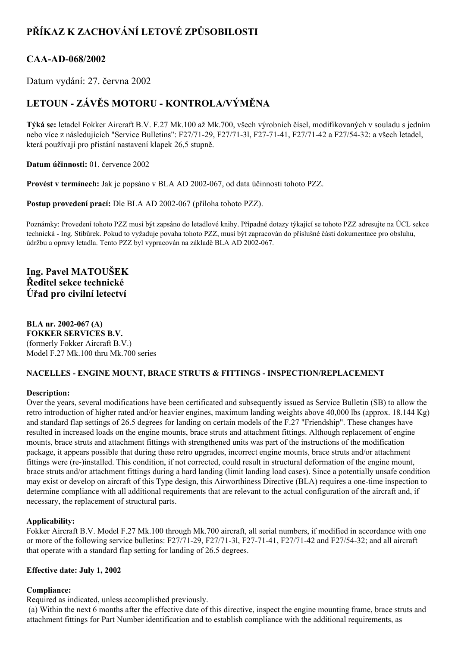# **PŘÍKAZ K ZACHOVÁNÍ LETOVÉ ZPŮSOBILOSTI**

## CAA-AD-068/2002

Datum vydání: 27. června 2002

# **LETOUN ZÁVĚS MOTORU KONTROLA/VÝMĚNA**

**Týká se:** letadel Fokker Aircraft B.V. F.27 Mk.100 až Mk.700, všech výrobních čísel, modifikovaných v souladu s jedním nebo více z následujících "Service Bulletins": F27/71-29, F27/71-31, F27-71-41, F27/71-42 a F27/54-32: a všech letadel, která používají pro přistání nastavení klapek 26,5 stupně.

**Datum účinnosti:** 01. července 2002

**Provést v termínech:** Jak je popsáno v BLA AD 2002067, od data účinnosti tohoto PZZ.

**Postup provedení prací:** Dle BLA AD 2002-067 (příloha tohoto PZZ).

Poznámky: Provedení tohoto PZZ musí být zapsáno do letadlové knihy. Případné dotazy týkající se tohoto PZZ adresujte na ÚCL sekce technická Ing. Stibůrek. Pokud to vyžaduje povaha tohoto PZZ, musí být zapracován do příslušné části dokumentace pro obsluhu, údržbu a opravy letadla. Tento PZZ byl vypracován na základě BLA AD 2002-067.

## **Ing. Pavel MATOUŠEK Ředitel sekce technické Úřad pro civilní letectví**

**BLA nr. 2002-067 (A) FOKKER SERVICES B.V.** (formerly Fokker Aircraft B.V.) Model F.27 Mk.100 thru Mk.700 series

### **NACELLES ENGINE MOUNT, BRACE STRUTS & FITTINGS INSPECTION/REPLACEMENT**

#### **Description:**

Over the years, several modifications have been certificated and subsequently issued as Service Bulletin (SB) to allow the retro introduction of higher rated and/or heavier engines, maximum landing weights above 40,000 lbs (approx. 18.144 Kg) and standard flap settings of 26.5 degrees for landing on certain models of the F.27 "Friendship". These changes have resulted in increased loads on the engine mounts, brace struts and attachment fittings. Although replacement of engine mounts, brace struts and attachment fittings with strengthened units was part of the instructions of the modification package, it appears possible that during these retro upgrades, incorrect engine mounts, brace struts and/or attachment fittings were (re)installed. This condition, if not corrected, could result in structural deformation of the engine mount, brace struts and/or attachment fittings during a hard landing (limit landing load cases). Since a potentially unsafe condition may exist or develop on aircraft of this Type design, this Airworthiness Directive (BLA) requires a one-time inspection to determine compliance with all additional requirements that are relevant to the actual configuration of the aircraft and, if necessary, the replacement of structural parts.

### **Applicability:**

Fokker Aircraft B.V. Model F.27 Mk.100 through Mk.700 aircraft, all serial numbers, if modified in accordance with one or more of the following service bulletins: F27/71-29, F27/71-31, F27-71-41, F27/71-42 and F27/54-32; and all aircraft that operate with a standard flap setting for landing of 26.5 degrees.

#### **Effective date: July 1, 2002**

#### **Compliance:**

Required as indicated, unless accomplished previously.

(a) Within the next 6 months after the effective date of this directive, inspect the engine mounting frame, brace struts and attachment fittings for Part Number identification and to establish compliance with the additional requirements, as